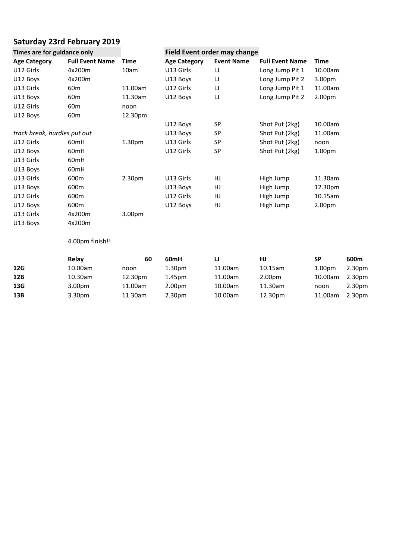## **23rd February <sup>2019</sup> Sat**

|                              | <b>Saturday 23rd February 2019</b> |             |                     |                              |                        |             |      |
|------------------------------|------------------------------------|-------------|---------------------|------------------------------|------------------------|-------------|------|
| Times are for guidance only  |                                    |             |                     | Field Event order may change |                        |             |      |
| <b>Age Category</b>          | <b>Full Event Name</b>             | <b>Time</b> | <b>Age Category</b> | <b>Event Name</b>            | <b>Full Event Name</b> | <b>Time</b> |      |
| U12 Girls                    | 4x200m                             | 10am        | U13 Girls           | IJ                           | Long Jump Pit 1        | 10.00am     |      |
| U12 Boys                     | 4x200m                             |             | U13 Boys            | IJ                           | Long Jump Pit 2        | 3.00pm      |      |
| U13 Girls                    | 60 <sub>m</sub>                    | 11.00am     | U12 Girls           | IJ                           | Long Jump Pit 1        | 11.00am     |      |
| U13 Boys                     | 60 <sub>m</sub>                    | 11.30am     | U12 Boys            | $\sqcup$                     | Long Jump Pit 2        | 2.00pm      |      |
| U12 Girls                    | 60 <sub>m</sub>                    | noon        |                     |                              |                        |             |      |
| U12 Boys                     | 60 <sub>m</sub>                    | 12.30pm     |                     |                              |                        |             |      |
|                              |                                    |             | U12 Boys            | SP                           | Shot Put (2kg)         | 10.00am     |      |
| track break, hurdles put out |                                    |             | U13 Boys            | SP                           | Shot Put (2kg)         | 11.00am     |      |
| U12 Girls                    | 60mH                               | 1.30pm      | U13 Girls           | SP                           | Shot Put (2kg)         | noon        |      |
| U12 Boys                     | 60mH                               |             | U12 Girls           | SP                           | Shot Put (2kg)         | 1.00pm      |      |
| U13 Girls                    | 60mH                               |             |                     |                              |                        |             |      |
| U13 Boys                     | 60mH                               |             |                     |                              |                        |             |      |
| U13 Girls                    | 600m                               | 2.30pm      | U13 Girls           | HJ                           | High Jump              | 11.30am     |      |
| U13 Boys                     | 600m                               |             | U13 Boys            | HJ                           | High Jump              | 12.30pm     |      |
| U12 Girls                    | 600m                               |             | U12 Girls           | HJ                           | High Jump              | 10.15am     |      |
| U12 Boys                     | 600m                               |             | U12 Boys            | HJ                           | High Jump              | 2.00pm      |      |
| U13 Girls                    | 4x200m                             | 3.00pm      |                     |                              |                        |             |      |
| U13 Boys                     | 4x200m                             |             |                     |                              |                        |             |      |
|                              | 4.00pm finish!!                    |             |                     |                              |                        |             |      |
|                              | Relav                              | 60          | 60 <sub>mH</sub>    | IJ                           | <b>HJ</b>              | <b>SP</b>   | 600m |

| U13 Girls | 4x200m             | 3.00 <sub>pm</sub> |                    |         |                    |                    |                    |
|-----------|--------------------|--------------------|--------------------|---------|--------------------|--------------------|--------------------|
| U13 Boys  | 4x200m             |                    |                    |         |                    |                    |                    |
|           | 4.00pm finish!!    |                    |                    |         |                    |                    |                    |
|           | Relay              | 60                 | 60 <sub>mH</sub>   | IJ      | HJ                 | <b>SP</b>          | 600m               |
| 12G       | 10.00am            | noon               | 1.30 <sub>pm</sub> | 11.00am | $10.15$ am         | 1.00 <sub>pm</sub> | 2.30 <sub>pm</sub> |
| 12B       | 10.30am            | 12.30pm            | 1.45 <sub>pm</sub> | 11.00am | 2.00 <sub>pm</sub> | 10.00am            | 2.30 <sub>pm</sub> |
| 13G       | 3.00 <sub>pm</sub> | 11.00am            | 2.00 <sub>pm</sub> | 10.00am | 11.30am            | noon               | 2.30 <sub>pm</sub> |
| 13B       | 3.30pm             | 11.30am            | 2.30 <sub>pm</sub> | 10.00am | 12.30pm            | 11.00am            | 2.30 <sub>pm</sub> |
|           |                    |                    |                    |         |                    |                    |                    |